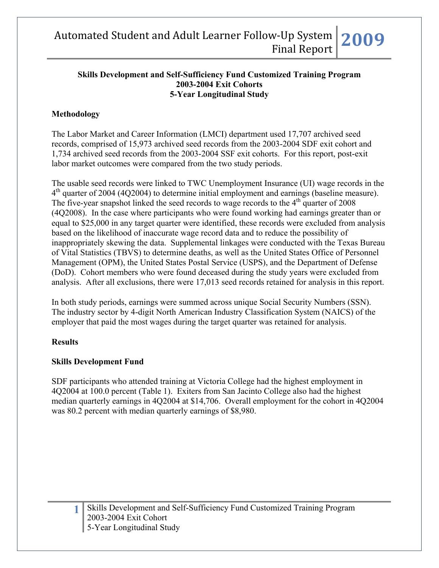#### **Skills Development and Self-Sufficiency Fund Customized Training Program 2003-2004 Exit Cohorts 5-Year Longitudinal Study**

## **Methodology**

The Labor Market and Career Information (LMCI) department used 17,707 archived seed records, comprised of 15,973 archived seed records from the 2003-2004 SDF exit cohort and 1,734 archived seed records from the 2003-2004 SSF exit cohorts. For this report, post-exit labor market outcomes were compared from the two study periods.

The usable seed records were linked to TWC Unemployment Insurance (UI) wage records in the 4<sup>th</sup> quarter of 2004 (4Q2004) to determine initial employment and earnings (baseline measure). The five-year snapshot linked the seed records to wage records to the  $4<sup>th</sup>$  quarter of 2008 (4Q2008). In the case where participants who were found working had earnings greater than or equal to \$25,000 in any target quarter were identified, these records were excluded from analysis based on the likelihood of inaccurate wage record data and to reduce the possibility of inappropriately skewing the data. Supplemental linkages were conducted with the Texas Bureau of Vital Statistics (TBVS) to determine deaths, as well as the United States Office of Personnel Management (OPM), the United States Postal Service (USPS), and the Department of Defense (DoD). Cohort members who were found deceased during the study years were excluded from analysis. After all exclusions, there were 17,013 seed records retained for analysis in this report.

In both study periods, earnings were summed across unique Social Security Numbers (SSN). The industry sector by 4-digit North American Industry Classification System (NAICS) of the employer that paid the most wages during the target quarter was retained for analysis.

## **Results**

## **Skills Development Fund**

SDF participants who attended training at Victoria College had the highest employment in 4Q2004 at 100.0 percent (Table 1). Exiters from San Jacinto College also had the highest median quarterly earnings in 4Q2004 at \$14,706. Overall employment for the cohort in 4Q2004 was 80.2 percent with median quarterly earnings of \$8,980.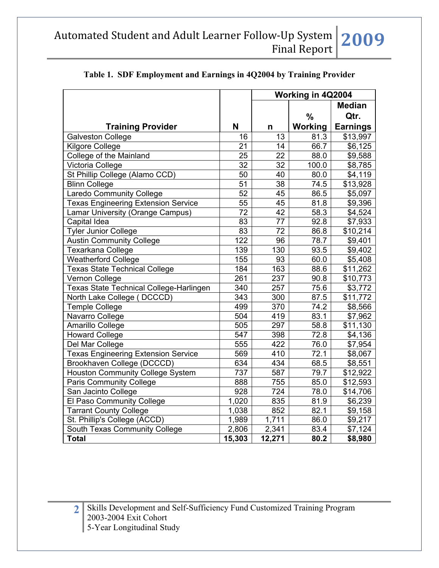|                                            |                  |                 | Working in 4Q2004 |                     |
|--------------------------------------------|------------------|-----------------|-------------------|---------------------|
|                                            |                  |                 |                   | <b>Median</b>       |
|                                            |                  |                 | $\frac{0}{0}$     | Qtr.                |
| <b>Training Provider</b>                   | N                | n               | Working           | <b>Earnings</b>     |
| <b>Galveston College</b>                   | 16               | 13              | 81.3              | \$13,997            |
| Kilgore College                            | 21               | 14              | 66.7              | \$6,125             |
| <b>College of the Mainland</b>             | $\overline{25}$  | $\overline{22}$ | 88.0              | \$9,588             |
| Victoria College                           | 32               | 32              | 100.0             | \$8,785             |
| St Phillip College (Alamo CCD)             | 50               | 40              | 80.0              | \$4,119             |
| <b>Blinn College</b>                       | 51               | 38              | 74.5              | \$13,928            |
| <b>Laredo Community College</b>            | 52               | 45              | 86.5              | \$5,097             |
| <b>Texas Engineering Extension Service</b> | 55               | 45              | 81.8              | \$9,396             |
| Lamar University (Orange Campus)           | 72               | 42              | 58.3              | \$4,524             |
| Capital Idea                               | 83               | 77              | 92.8              | \$7,933             |
| <b>Tyler Junior College</b>                | 83               | 72              | 86.8              | \$10,214            |
| <b>Austin Community College</b>            | 122              | 96              | 78.7              | \$9,401             |
| Texarkana College                          | 139              | 130             | 93.5              | \$9,402             |
| <b>Weatherford College</b>                 | 155              | 93              | 60.0              | \$5,408             |
| <b>Texas State Technical College</b>       | 184              | 163             | 88.6              | \$11,262            |
| Vernon College                             | 261              | 237             | 90.8              | \$10,773            |
| Texas State Technical College-Harlingen    | 340              | 257             | 75.6              | \$3,772             |
| North Lake College (<br>DCCCD)             | $\overline{343}$ | 300             | 87.5              | \$11,772            |
| <b>Temple College</b>                      | 499              | 370             | 74.2              | \$8,566             |
| Navarro College                            | 504              | 419             | 83.1              | \$7,962             |
| Amarillo College                           | 505              | 297             | 58.8              | \$11,130            |
| <b>Howard College</b>                      | 547              | 398             | 72.8              | \$4,136             |
| Del Mar College                            | 555              | 422             | 76.0              | \$7,954             |
| <b>Texas Engineering Extension Service</b> | 569              | 410             | 72.1              | \$8,067             |
| Brookhaven College (DCCCD)                 | 634              | 434             | 68.5              | \$8,551             |
| <b>Houston Community College System</b>    | 737              | 587             | 79.7              | \$12,922            |
| <b>Paris Community College</b>             | 888              | 755             | 85.0              | \$12,593            |
| San Jacinto College                        | 928              | 724             | 78.0              | \$14,706            |
| El Paso Community College                  | 1,020            | 835             | 81.9              | \$6,239             |
| <b>Tarrant County College</b>              | 1,038            | 852             | 82.1              | \$9,158             |
| St. Phillip's College (ACCD)               | 1,989            | 1,711           | 86.0              | \$9,217             |
| South Texas Community College              | 2,806            | 2,341           | 83.4              | $\overline{$7,124}$ |
| <b>Total</b>                               | 15,303           | 12,271          | 80.2              | \$8,980             |

## **Table 1. SDF Employment and Earnings in 4Q2004 by Training Provider**

2 Skills Development and Self-Sufficiency Fund Customized Training Program 2003-2004 Exit Cohort 5-Year Longitudinal Study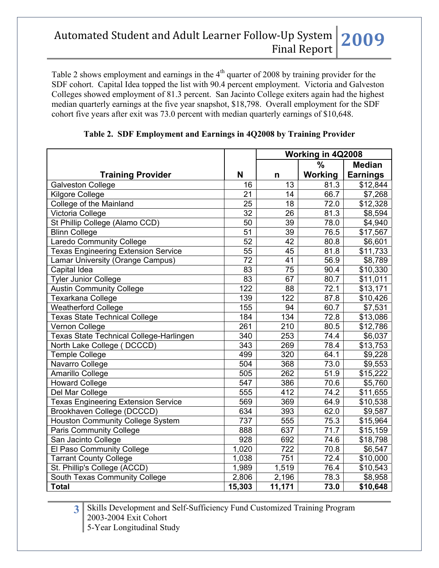Table 2 shows employment and earnings in the  $4<sup>th</sup>$  quarter of 2008 by training provider for the SDF cohort. Capital Idea topped the list with 90.4 percent employment. Victoria and Galveston Colleges showed employment of 81.3 percent. San Jacinto College exiters again had the highest median quarterly earnings at the five year snapshot, \$18,798. Overall employment for the SDF cohort five years after exit was 73.0 percent with median quarterly earnings of \$10,648.

|                                                |        |                  | Working in 4Q2008 |                      |
|------------------------------------------------|--------|------------------|-------------------|----------------------|
|                                                |        |                  | $\frac{0}{0}$     | <b>Median</b>        |
| <b>Training Provider</b>                       | N      | n                | Working           | <b>Earnings</b>      |
| <b>Galveston College</b>                       | 16     | 13               | 81.3              | \$12,844             |
| Kilgore College                                | 21     | 14               | 66.7              | \$7,268              |
| College of the Mainland                        | 25     | 18               | 72.0              | \$12,328             |
| Victoria College                               | 32     | 26               | 81.3              | \$8,594              |
| St Phillip College (Alamo CCD)                 | 50     | 39               | 78.0              | \$4,940              |
| <b>Blinn College</b>                           | 51     | 39               | 76.5              | \$17,567             |
| Laredo Community College                       | 52     | 42               | 80.8              | \$6,601              |
| <b>Texas Engineering Extension Service</b>     | 55     | 45               | 81.8              | \$11,733             |
| Lamar University (Orange Campus)               | 72     | 41               | 56.9              | \$8,789              |
| Capital Idea                                   | 83     | 75               | $\overline{90.4}$ | \$10,330             |
| <b>Tyler Junior College</b>                    | 83     | 67               | 80.7              | \$11,011             |
| <b>Austin Community College</b>                | 122    | 88               | 72.1              | $\overline{$13,171}$ |
| Texarkana College                              | 139    | 122              | 87.8              | \$10,426             |
| <b>Weatherford College</b>                     | 155    | 94               | 60.7              | \$7,531              |
| <b>Texas State Technical College</b>           | 184    | 134              | 72.8              | \$13,086             |
| Vernon College                                 | 261    | 210              | 80.5              | \$12,786             |
| <b>Texas State Technical College-Harlingen</b> | 340    | 253              | 74.4              | \$6,037              |
| North Lake College (DCCCD)                     | 343    | 269              | 78.4              | \$13,753             |
| Temple College                                 | 499    | 320              | 64.1              | \$9,228              |
| Navarro College                                | 504    | 368              | 73.0              | \$9,553              |
| Amarillo College                               | 505    | 262              | 51.9              | \$15,222             |
| <b>Howard College</b>                          | 547    | 386              | 70.6              | \$5,760              |
| Del Mar College                                | 555    | 412              | 74.2              | \$11,655             |
| <b>Texas Engineering Extension Service</b>     | 569    | $\overline{369}$ | 64.9              | $\overline{$}10,538$ |
| Brookhaven College (DCCCD)                     | 634    | 393              | 62.0              | \$9,587              |
| <b>Houston Community College System</b>        | 737    | 555              | 75.3              | \$15,964             |
| <b>Paris Community College</b>                 | 888    | 637              | 71.7              | \$15,159             |
| San Jacinto College                            | 928    | 692              | 74.6              | \$18,798             |
| El Paso Community College                      | 1,020  | 722              | 70.8              | \$6,547              |
| <b>Tarrant County College</b>                  | 1,038  | 751              | 72.4              | \$10,000             |
| St. Phillip's College (ACCD)                   | 1,989  | 1,519            | 76.4              | \$10,543             |
| South Texas Community College                  | 2,806  | 2,196            | 78.3              | \$8,958              |
| <b>Total</b>                                   | 15,303 | 11,171           | 73.0              | \$10,648             |

## **Table 2. SDF Employment and Earnings in 4Q2008 by Training Provider**

**3** Skills Development and Self-Sufficiency Fund Customized Training Program 2003-2004 Exit Cohort 5-Year Longitudinal Study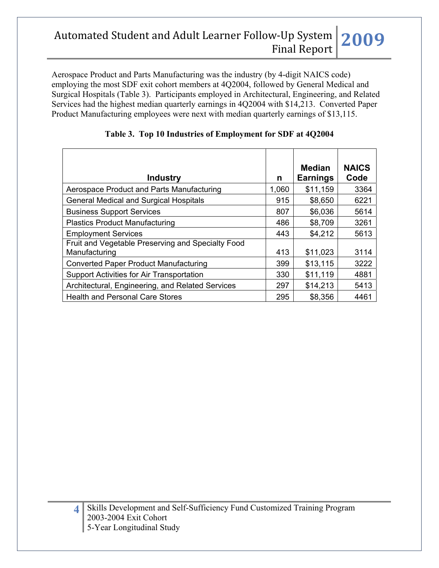Aerospace Product and Parts Manufacturing was the industry (by 4-digit NAICS code) employing the most SDF exit cohort members at 4Q2004, followed by General Medical and Surgical Hospitals (Table 3). Participants employed in Architectural, Engineering, and Related Services had the highest median quarterly earnings in 4Q2004 with \$14,213. Converted Paper Product Manufacturing employees were next with median quarterly earnings of \$13,115.

| <b>Industry</b>                                                    | n     | Median<br><b>Earnings</b> | <b>NAICS</b><br>Code |
|--------------------------------------------------------------------|-------|---------------------------|----------------------|
| Aerospace Product and Parts Manufacturing                          | 1,060 | \$11,159                  | 3364                 |
| <b>General Medical and Surgical Hospitals</b>                      | 915   | \$8,650                   | 6221                 |
| <b>Business Support Services</b>                                   | 807   | \$6,036                   | 5614                 |
| <b>Plastics Product Manufacturing</b>                              | 486   | \$8,709                   | 3261                 |
| <b>Employment Services</b>                                         | 443   | \$4,212                   | 5613                 |
| Fruit and Vegetable Preserving and Specialty Food<br>Manufacturing | 413   | \$11,023                  | 3114                 |
| <b>Converted Paper Product Manufacturing</b>                       | 399   | \$13,115                  | 3222                 |
| Support Activities for Air Transportation                          | 330   | \$11,119                  | 4881                 |
| Architectural, Engineering, and Related Services                   | 297   | \$14,213                  | 5413                 |
| <b>Health and Personal Care Stores</b>                             | 295   | \$8,356                   | 4461                 |

| Table 3. Top 10 Industries of Employment for SDF at 4Q2004 |  |  |  |  |
|------------------------------------------------------------|--|--|--|--|
|------------------------------------------------------------|--|--|--|--|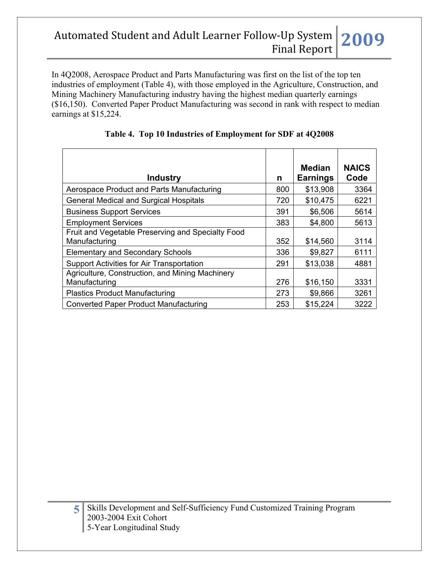In 4Q2008, Aerospace Product and Parts Manufacturing was first on the list of the top ten industries of employment (Table 4), with those employed in the Agriculture, Construction, and Mining Machinery Manufacturing industry having the highest median quarterly earnings (\$16,150). Converted Paper Product Manufacturing was second in rank with respect to median earnings at \$15,224.

| <b>Industry</b>                                                    | n   | Median<br><b>Earnings</b> | <b>NAICS</b><br>Code |
|--------------------------------------------------------------------|-----|---------------------------|----------------------|
| Aerospace Product and Parts Manufacturing                          | 800 | \$13,908                  | 3364                 |
| <b>General Medical and Surgical Hospitals</b>                      | 720 | \$10,475                  | 6221                 |
| <b>Business Support Services</b>                                   | 391 | \$6,506                   | 5614                 |
| <b>Employment Services</b>                                         | 383 | \$4,800                   | 5613                 |
| Fruit and Vegetable Preserving and Specialty Food<br>Manufacturing | 352 | \$14,560                  | 3114                 |
| <b>Elementary and Secondary Schools</b>                            | 336 | \$9,827                   | 6111                 |
| Support Activities for Air Transportation                          | 291 | \$13,038                  | 4881                 |
| Agriculture, Construction, and Mining Machinery<br>Manufacturing   | 276 | \$16,150                  | 3331                 |
| <b>Plastics Product Manufacturing</b>                              | 273 | \$9,866                   | 3261                 |
| <b>Converted Paper Product Manufacturing</b>                       | 253 | \$15,224                  | 3222                 |

|  |  | Table 4. Top 10 Industries of Employment for SDF at 4Q2008 |
|--|--|------------------------------------------------------------|
|  |  |                                                            |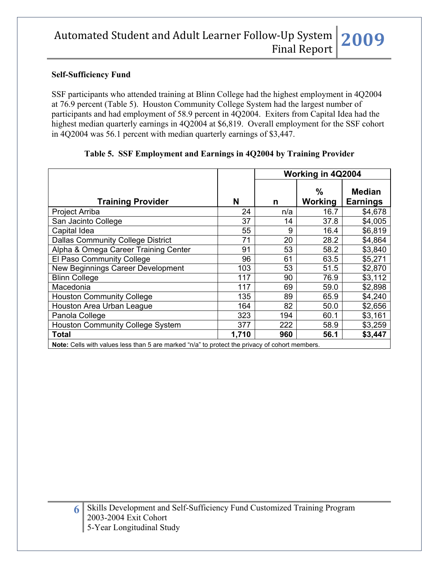### **Self-Sufficiency Fund**

SSF participants who attended training at Blinn College had the highest employment in 4Q2004 at 76.9 percent (Table 5). Houston Community College System had the largest number of participants and had employment of 58.9 percent in 4Q2004. Exiters from Capital Idea had the highest median quarterly earnings in 4Q2004 at \$6,819. Overall employment for the SSF cohort in 4Q2004 was 56.1 percent with median quarterly earnings of \$3,447.

|       | Working in 4Q2004 |                        |                                                                                                                            |
|-------|-------------------|------------------------|----------------------------------------------------------------------------------------------------------------------------|
| N     | n                 | $\%$<br><b>Working</b> | <b>Median</b><br><b>Earnings</b>                                                                                           |
| 24    | n/a               | 16.7                   | \$4,678                                                                                                                    |
| 37    | 14                | 37.8                   | \$4,005                                                                                                                    |
| 55    | 9                 | 16.4                   | \$6,819                                                                                                                    |
| 71    | 20                | 28.2                   | \$4,864                                                                                                                    |
| 91    | 53                | 58.2                   | \$3,840                                                                                                                    |
| 96    | 61                | 63.5                   | \$5,271                                                                                                                    |
| 103   | 53                | 51.5                   | \$2,870                                                                                                                    |
| 117   | 90                | 76.9                   | \$3,112                                                                                                                    |
| 117   | 69                | 59.0                   | \$2,898                                                                                                                    |
| 135   | 89                | 65.9                   | \$4,240                                                                                                                    |
| 164   | 82                | 50.0                   | \$2,656                                                                                                                    |
| 323   | 194               | 60.1                   | \$3,161                                                                                                                    |
| 377   | 222               | 58.9                   | \$3,259                                                                                                                    |
| 1,710 | 960               | 56.1                   | \$3,447                                                                                                                    |
|       |                   |                        | Mater. Online with confirmations there is no considered that $\theta$ to constant the contraction of a short consideration |

#### **Table 5. SSF Employment and Earnings in 4Q2004 by Training Provider**

**Note:** Cells with values less than 5 are marked "n/a" to protect the privacy of cohort members.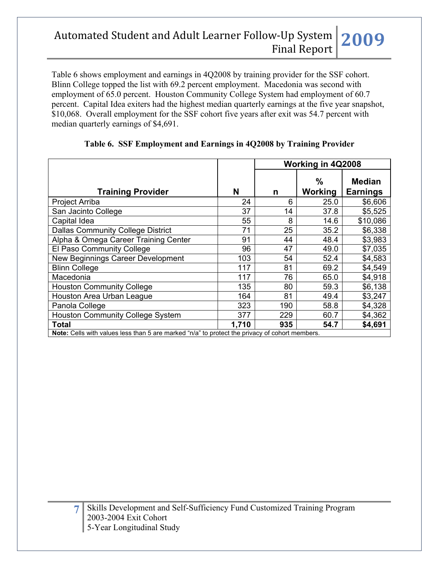Table 6 shows employment and earnings in 4Q2008 by training provider for the SSF cohort. Blinn College topped the list with 69.2 percent employment. Macedonia was second with employment of 65.0 percent. Houston Community College System had employment of 60.7 percent. Capital Idea exiters had the highest median quarterly earnings at the five year snapshot, \$10,068. Overall employment for the SSF cohort five years after exit was 54.7 percent with median quarterly earnings of \$4,691.

|                                                                                               |       |     | Working in 4Q2008      |                                  |
|-----------------------------------------------------------------------------------------------|-------|-----|------------------------|----------------------------------|
| <b>Training Provider</b>                                                                      | N     | n   | $\%$<br><b>Working</b> | <b>Median</b><br><b>Earnings</b> |
| Project Arriba                                                                                | 24    | 6   | 25.0                   | \$6,606                          |
| San Jacinto College                                                                           | 37    | 14  | 37.8                   | \$5,525                          |
| Capital Idea                                                                                  | 55    | 8   | 14.6                   | \$10,086                         |
| <b>Dallas Community College District</b>                                                      | 71    | 25  | 35.2                   | \$6,338                          |
| Alpha & Omega Career Training Center                                                          | 91    | 44  | 48.4                   | \$3,983                          |
| El Paso Community College                                                                     | 96    | 47  | 49.0                   | \$7,035                          |
| New Beginnings Career Development                                                             | 103   | 54  | 52.4                   | \$4,583                          |
| <b>Blinn College</b>                                                                          | 117   | 81  | 69.2                   | \$4,549                          |
| Macedonia                                                                                     | 117   | 76  | 65.0                   | \$4,918                          |
| <b>Houston Community College</b>                                                              | 135   | 80  | 59.3                   | \$6,138                          |
| Houston Area Urban League                                                                     | 164   | 81  | 49.4                   | \$3,247                          |
| Panola College                                                                                | 323   | 190 | 58.8                   | \$4,328                          |
| <b>Houston Community College System</b>                                                       | 377   | 229 | 60.7                   | \$4,362                          |
| <b>Total</b>                                                                                  | 1.710 | 935 | 54.7                   | \$4,691                          |
| Note: Cells with values less than 5 are marked "n/a" to protect the privacy of cohort members |       |     |                        |                                  |

#### **Table 6. SSF Employment and Earnings in 4Q2008 by Training Provider**

**Note:** Cells with values less than 5 are marked "n/a" to protect the privacy of cohort members.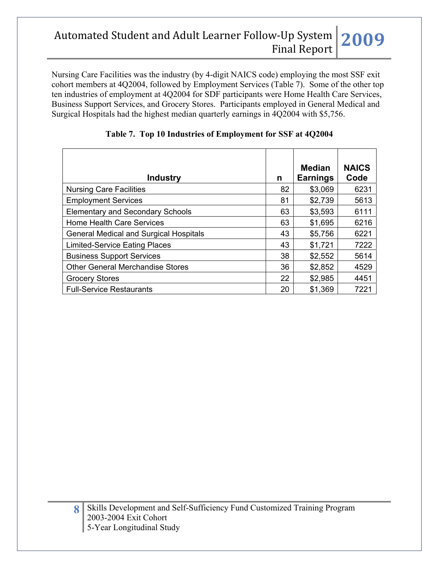Nursing Care Facilities was the industry (by 4-digit NAICS code) employing the most SSF exit cohort members at 4Q2004, followed by Employment Services (Table 7). Some of the other top ten industries of employment at 4Q2004 for SDF participants were Home Health Care Services, Business Support Services, and Grocery Stores. Participants employed in General Medical and Surgical Hospitals had the highest median quarterly earnings in 4Q2004 with \$5,756.

| <b>Industry</b>                               | n  | <b>Median</b><br><b>Earnings</b> | <b>NAICS</b><br>Code |
|-----------------------------------------------|----|----------------------------------|----------------------|
| <b>Nursing Care Facilities</b>                | 82 | \$3,069                          | 6231                 |
| <b>Employment Services</b>                    | 81 | \$2,739                          | 5613                 |
| <b>Elementary and Secondary Schools</b>       | 63 | \$3,593                          | 6111                 |
| <b>Home Health Care Services</b>              | 63 | \$1,695                          | 6216                 |
| <b>General Medical and Surgical Hospitals</b> | 43 | \$5,756                          | 6221                 |
| <b>Limited-Service Eating Places</b>          | 43 | \$1,721                          | 7222                 |
| <b>Business Support Services</b>              | 38 | \$2,552                          | 5614                 |
| <b>Other General Merchandise Stores</b>       | 36 | \$2,852                          | 4529                 |
| <b>Grocery Stores</b>                         | 22 | \$2,985                          | 4451                 |
| <b>Full-Service Restaurants</b>               | 20 | \$1,369                          | 7221                 |

|  |  | Table 7. Top 10 Industries of Employment for SSF at 4Q2004 |
|--|--|------------------------------------------------------------|
|  |  |                                                            |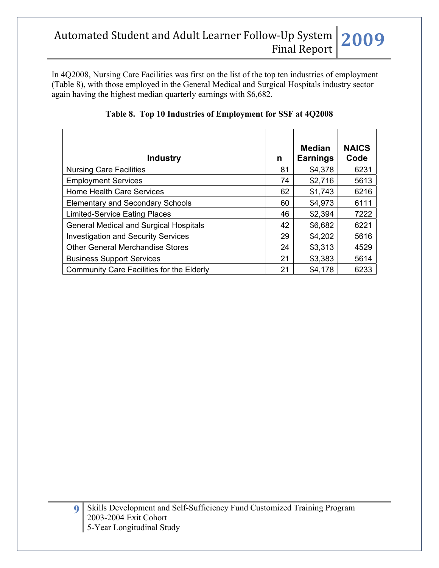In 4Q2008, Nursing Care Facilities was first on the list of the top ten industries of employment (Table 8), with those employed in the General Medical and Surgical Hospitals industry sector again having the highest median quarterly earnings with \$6,682.

|                                               |    | Median          | <b>NAICS</b> |
|-----------------------------------------------|----|-----------------|--------------|
| <b>Industry</b>                               | n  | <b>Earnings</b> | Code         |
| <b>Nursing Care Facilities</b>                | 81 | \$4,378         | 6231         |
| <b>Employment Services</b>                    | 74 | \$2,716         | 5613         |
| Home Health Care Services                     | 62 | \$1,743         | 6216         |
| <b>Elementary and Secondary Schools</b>       | 60 | \$4,973         | 6111         |
| <b>Limited-Service Eating Places</b>          | 46 | \$2,394         | 7222         |
| <b>General Medical and Surgical Hospitals</b> | 42 | \$6,682         | 6221         |
| <b>Investigation and Security Services</b>    | 29 | \$4,202         | 5616         |
| <b>Other General Merchandise Stores</b>       | 24 | \$3,313         | 4529         |
| <b>Business Support Services</b>              | 21 | \$3,383         | 5614         |
| Community Care Facilities for the Elderly     | 21 | \$4,178         | 6233         |

### **Table 8. Top 10 Industries of Employment for SSF at 4Q2008**